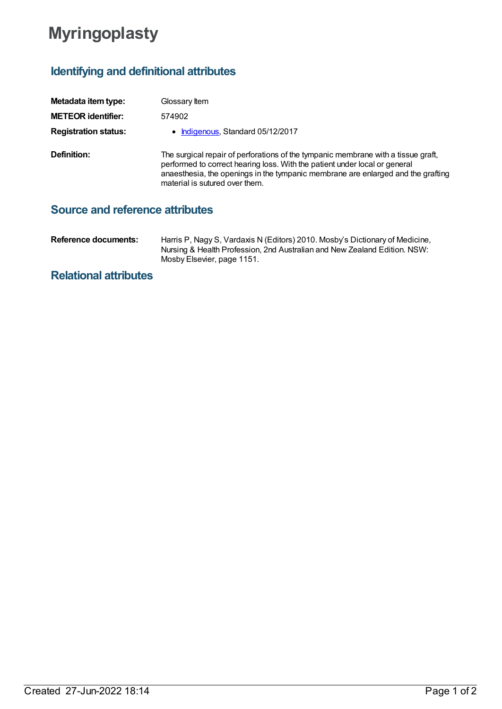## **Myringoplasty**

## **Identifying and definitional attributes**

| Metadata item type:         | Glossary Item                                                                                                                                                                                                                                                                         |
|-----------------------------|---------------------------------------------------------------------------------------------------------------------------------------------------------------------------------------------------------------------------------------------------------------------------------------|
| <b>METEOR identifier:</b>   | 574902                                                                                                                                                                                                                                                                                |
| <b>Registration status:</b> | • Indigenous, Standard 05/12/2017                                                                                                                                                                                                                                                     |
| Definition:                 | The surgical repair of perforations of the tympanic membrane with a tissue graft,<br>performed to correct hearing loss. With the patient under local or general<br>anaesthesia, the openings in the tympanic membrane are enlarged and the grafting<br>material is sutured over them. |

## **Source and reference attributes**

| Reference documents: | Harris P, Nagy S, Vardaxis N (Editors) 2010. Mosby's Dictionary of Medicine, |
|----------------------|------------------------------------------------------------------------------|
|                      | Nursing & Health Profession, 2nd Australian and New Zealand Edition. NSW:    |
|                      | Mosby Elsevier, page 1151.                                                   |

## **Relational attributes**